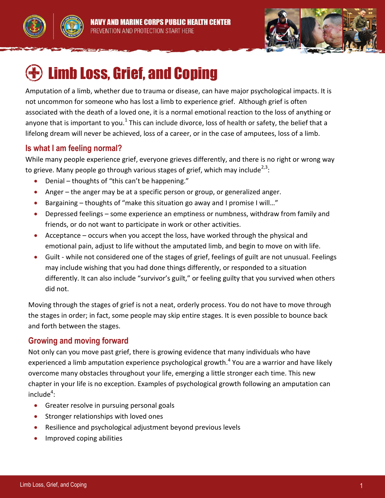



# Limb Loss, Grief, and Coping

Amputation of a limb, whether due to trauma or disease, can have major psychological impacts. It is not uncommon for someone who has lost a limb to experience grief. Although grief is often associated with the death of a loved one, it is a normal emotional reaction to the loss of anything or anyone that is important to you.<sup>1</sup> This can include divorce, loss of health or safety, the belief that a lifelong dream will never be achieved, loss of a career, or in the case of amputees, loss of a limb.

## **Is what I am feeling normal?**

While many people experience grief, everyone grieves differently, and there is no right or wrong way to grieve. Many people go through various stages of grief, which may include<sup>2,3</sup>:

- Denial thoughts of "this can't be happening."
- Anger the anger may be at a specific person or group, or generalized anger.
- Bargaining thoughts of "make this situation go away and I promise I will..."
- Depressed feelings some experience an emptiness or numbness, withdraw from family and friends, or do not want to participate in work or other activities.
- Acceptance occurs when you accept the loss, have worked through the physical and emotional pain, adjust to life without the amputated limb, and begin to move on with life.
- Guilt while not considered one of the stages of grief, feelings of guilt are not unusual. Feelings may include wishing that you had done things differently, or responded to a situation differently. It can also include "survivor's guilt," or feeling guilty that you survived when others did not.

Moving through the stages of grief is not a neat, orderly process. You do not have to move through the stages in order; in fact, some people may skip entire stages. It is even possible to bounce back and forth between the stages.

### **Growing and moving forward**

Not only can you move past grief, there is growing evidence that many individuals who have experienced a limb amputation experience psychological growth.<sup>4</sup> You are a warrior and have likely overcome many obstacles throughout your life, emerging a little stronger each time. This new chapter in your life is no exception. Examples of psychological growth following an amputation can  $include<sup>4</sup>$ :

- **Greater resolve in pursuing personal goals**
- **•** Stronger relationships with loved ones
- Resilience and psychological adjustment beyond previous levels
- Improved coping abilities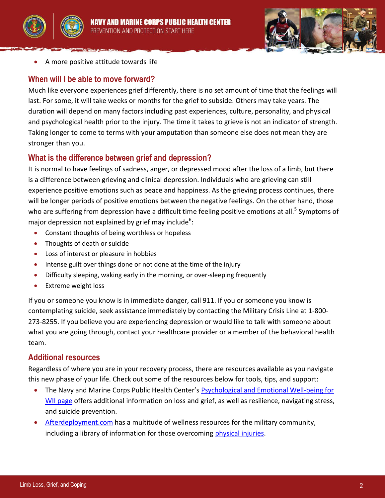





A more positive attitude towards life

#### **When will I be able to move forward?**

Much like everyone experiences grief differently, there is no set amount of time that the feelings will last. For some, it will take weeks or months for the grief to subside. Others may take years. The duration will depend on many factors including past experiences, culture, personality, and physical and psychological health prior to the injury. The time it takes to grieve is not an indicator of strength. Taking longer to come to terms with your amputation than someone else does not mean they are stronger than you.

#### **What is the difference between grief and depression?**

It is normal to have feelings of sadness, anger, or depressed mood after the loss of a limb, but there is a difference between grieving and clinical depression. Individuals who are grieving can still experience positive emotions such as peace and happiness. As the grieving process continues, there will be longer periods of positive emotions between the negative feelings. On the other hand, those who are suffering from depression have a difficult time feeling positive emotions at all.<sup>5</sup> Symptoms of major depression not explained by grief may include<sup>6</sup>:

- Constant thoughts of being worthless or hopeless
- Thoughts of death or suicide
- Loss of interest or pleasure in hobbies
- Intense guilt over things done or not done at the time of the injury
- Difficulty sleeping, waking early in the morning, or over-sleeping frequently
- **Extreme weight loss**

If you or someone you know is in immediate danger, call 911. If you or someone you know is contemplating suicide, seek assistance immediately by contacting the Military Crisis Line at 1-800- 273-8255. If you believe you are experiencing depression or would like to talk with someone about what you are going through, contact your healthcare provider or a member of the behavioral health team.

#### **Additional resources**

Regardless of where you are in your recovery process, there are resources available as you navigate this new phase of your life. Check out some of the resources below for tools, tips, and support:

- The Navy and Marine Corps Public Health Center's Psychological and Emotional Well-being for [WII page](http://www.med.navy.mil/sites/nmcphc/health-promotion/Pages/Wii-psych.aspx) offers additional information on loss and grief, as well as resilience, navigating stress, and suicide prevention.
- [Afterdeployment.com](http://afterdeployment.t2.health.mil/) has a multitude of wellness resources for the military community, including a library of information for those overcoming [physical injuries.](http://afterdeployment.t2.health.mil/topics-physical-injury)